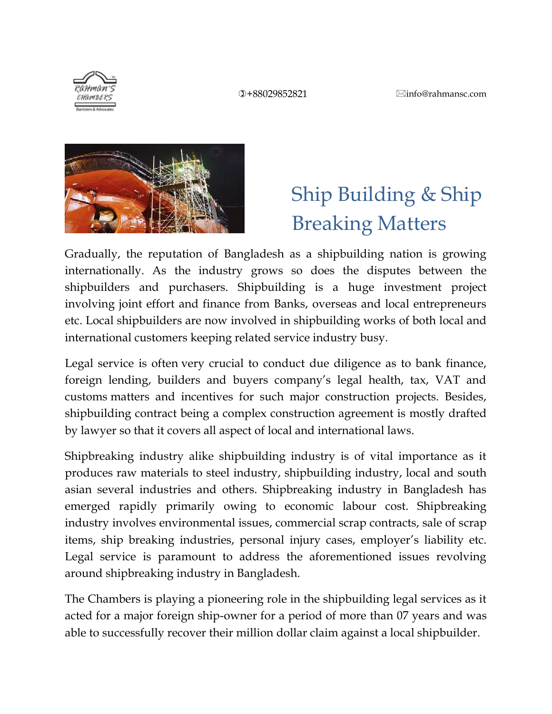



## Ship Building & Ship Breaking Matters

Gradually, the reputation of Bangladesh as a shipbuilding nation is growing internationally. As the industry grows so does the disputes between the shipbuilders and purchasers. Shipbuilding is a huge investment project involving joint effort and finance from Banks, overseas and local entrepreneurs etc. Local shipbuilders are now involved in shipbuilding works of both local and international customers keeping related service industry busy.

Legal service is often very crucial to conduct due diligence as to bank finance, foreign lending, builders and buyers company's legal health, tax, VAT and customs matters and incentives for such major construction projects. Besides, shipbuilding contract being a complex construction agreement is mostly drafted by lawyer so that it covers all aspect of local and international laws.

Shipbreaking industry alike shipbuilding industry is of vital importance as it produces raw materials to steel industry, shipbuilding industry, local and south asian several industries and others. Shipbreaking industry in Bangladesh has emerged rapidly primarily owing to economic labour cost. Shipbreaking industry involves environmental issues, commercial scrap contracts, sale of scrap items, ship breaking industries, personal injury cases, employer's liability etc. Legal service is paramount to address the aforementioned issues revolving around shipbreaking industry in Bangladesh.

The Chambers is playing a pioneering role in the shipbuilding legal services as it acted for a major foreign ship-owner for a period of more than 07 years and was able to successfully recover their million dollar claim against a local shipbuilder.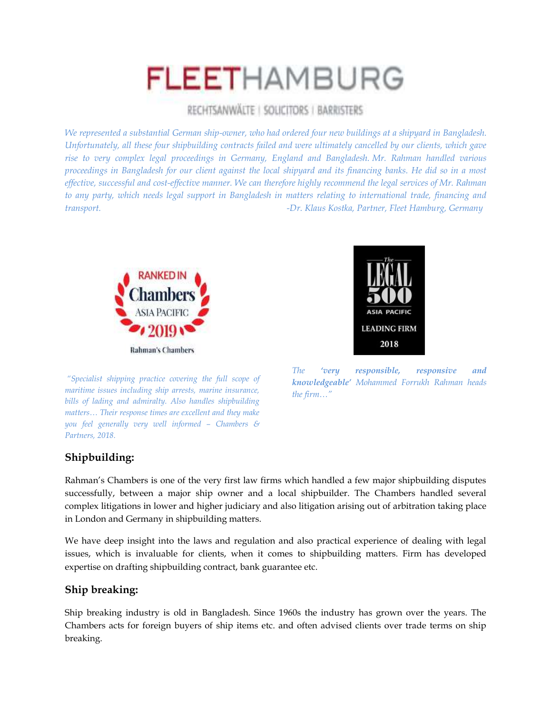# **FLEET**HAMBURG

#### RECHTSANWALTE | SOLICITORS | BARRISTERS

*We represented a substantial German ship-owner, who had ordered four new buildings at a shipyard in Bangladesh. Unfortunately, all these four shipbuilding contracts failed and were ultimately cancelled by our clients, which gave rise to very complex legal proceedings in Germany, England and Bangladesh. Mr. Rahman handled various proceedings in Bangladesh for our client against the local shipyard and its financing banks. He did so in a most effective, successful and cost-effective manner. We can therefore highly recommend the legal services of Mr. Rahman to any party, which needs legal support in Bangladesh in matters relating to international trade, financing and transport. -Dr. Klaus Kostka, Partner, Fleet Hamburg, Germany*



*"Specialist shipping practice covering the full scope of maritime issues including ship arrests, marine insurance, bills of lading and admiralty. Also handles shipbuilding matters… Their response times are excellent and they make you feel generally very well informed – Chambers & Partners, 2018.*



*The 'very responsible, responsive and knowledgeable' Mohammed Forrukh Rahman heads the firm…"*

#### **Shipbuilding:**

Rahman's Chambers is one of the very first law firms which handled a few major shipbuilding disputes successfully, between a major ship owner and a local shipbuilder. The Chambers handled several complex litigations in lower and higher judiciary and also litigation arising out of arbitration taking place in London and Germany in shipbuilding matters.

We have deep insight into the laws and regulation and also practical experience of dealing with legal issues, which is invaluable for clients, when it comes to shipbuilding matters. Firm has developed expertise on drafting shipbuilding contract, bank guarantee etc.

#### **Ship breaking:**

Ship breaking industry is old in Bangladesh. Since 1960s the industry has grown over the years. The Chambers acts for foreign buyers of ship items etc. and often advised clients over trade terms on ship breaking.